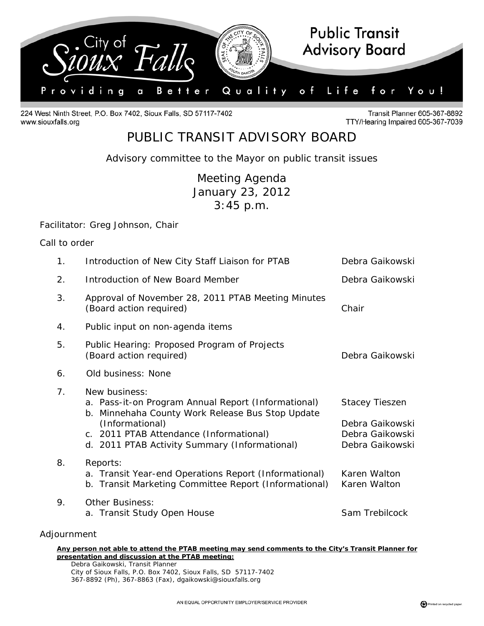

224 West Ninth Street, P.O. Box 7402, Sioux Falls, SD 57117-7402 www.siouxfalls.org

Transit Planner 605-367-8892 TTY/Hearing Impaired 605-367-7039

## PUBLIC TRANSIT ADVISORY BOARD

*Advisory committee to the Mayor on public transit issues* 

Meeting Agenda January 23, 2012 3:45 p.m.

## Facilitator: Greg Johnson, Chair

|  | Call to order |
|--|---------------|
|  |               |

| 1.          | Introduction of New City Staff Liaison for PTAB                                                                                                                                                                                         | Debra Gaikowski                                                                |
|-------------|-----------------------------------------------------------------------------------------------------------------------------------------------------------------------------------------------------------------------------------------|--------------------------------------------------------------------------------|
| 2.          | Introduction of New Board Member                                                                                                                                                                                                        | Debra Gaikowski                                                                |
| 3.          | Approval of November 28, 2011 PTAB Meeting Minutes<br>(Board action required)                                                                                                                                                           | Chair                                                                          |
| 4.          | Public input on non-agenda items                                                                                                                                                                                                        |                                                                                |
| 5.          | Public Hearing: Proposed Program of Projects<br>(Board action required)                                                                                                                                                                 | Debra Gaikowski                                                                |
| 6.          | Old business: None                                                                                                                                                                                                                      |                                                                                |
| 7.          | New business:<br>a. Pass-it-on Program Annual Report (Informational)<br>b. Minnehaha County Work Release Bus Stop Update<br>(Informational)<br>c. 2011 PTAB Attendance (Informational)<br>d. 2011 PTAB Activity Summary (Informational) | <b>Stacey Tieszen</b><br>Debra Gaikowski<br>Debra Gaikowski<br>Debra Gaikowski |
| 8.          | Reports:<br>a. Transit Year-end Operations Report (Informational)<br>b. Transit Marketing Committee Report (Informational)                                                                                                              | Karen Walton<br>Karen Walton                                                   |
| 9.          | <b>Other Business:</b><br>a. Transit Study Open House                                                                                                                                                                                   | Sam Trebilcock                                                                 |
| Adjournment |                                                                                                                                                                                                                                         |                                                                                |

## **Any person not able to attend the PTAB meeting may send comments to the City's Transit Planner for presentation and discussion at the PTAB meeting:**

 Debra Gaikowski, Transit Planner City of Sioux Falls, P.O. Box 7402, Sioux Falls, SD 57117-7402 367-8892 (Ph), 367-8863 (Fax), dgaikowski@siouxfalls.org